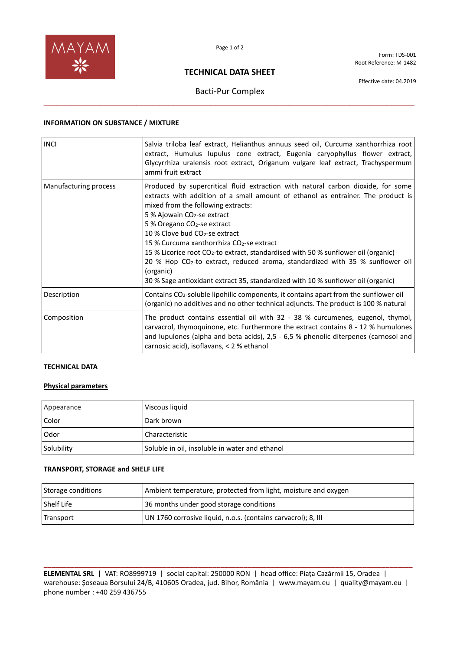

Form: TDS-001 Root Reference: M-1482

## **TECHNICAL DATA SHEET**

Effective date: 04.2019

# Bacti-Pur Complex **\_\_\_\_\_\_\_\_\_\_\_\_\_\_\_\_\_\_\_\_\_\_\_\_\_\_\_\_\_\_\_\_\_\_\_\_\_\_\_\_\_\_\_\_\_\_\_\_\_\_\_\_\_\_\_\_\_\_\_\_\_\_\_\_\_\_\_\_\_\_\_\_\_\_\_\_\_\_\_\_**

### **INFORMATION ON SUBSTANCE / MIXTURE**

| <b>INCI</b>           | Salvia triloba leaf extract, Helianthus annuus seed oil, Curcuma xanthorrhiza root<br>extract, Humulus lupulus cone extract, Eugenia caryophyllus flower extract,<br>Glycyrrhiza uralensis root extract, Origanum vulgare leaf extract, Trachyspermum<br>ammi fruit extract                                                                                                                                                                                                                                                                                                                                                                                                                    |
|-----------------------|------------------------------------------------------------------------------------------------------------------------------------------------------------------------------------------------------------------------------------------------------------------------------------------------------------------------------------------------------------------------------------------------------------------------------------------------------------------------------------------------------------------------------------------------------------------------------------------------------------------------------------------------------------------------------------------------|
| Manufacturing process | Produced by supercritical fluid extraction with natural carbon dioxide, for some<br>extracts with addition of a small amount of ethanol as entrainer. The product is<br>mixed from the following extracts:<br>5 % Ajowain CO <sub>2</sub> -se extract<br>5 % Oregano CO <sub>2</sub> -se extract<br>10 % Clove bud CO <sub>2</sub> -se extract<br>15 % Curcuma xanthorrhiza CO <sub>2</sub> -se extract<br>15 % Licorice root $CO_2$ -to extract, standardised with 50 % sunflower oil (organic)<br>20 % Hop CO <sub>2</sub> -to extract, reduced aroma, standardized with 35 % sunflower oil<br>(organic)<br>30 % Sage antioxidant extract 35, standardized with 10 % sunflower oil (organic) |
| Description           | Contains CO <sub>2</sub> -soluble lipohilic components, it contains apart from the sunflower oil<br>(organic) no additives and no other technical adjuncts. The product is 100 % natural                                                                                                                                                                                                                                                                                                                                                                                                                                                                                                       |
| Composition           | The product contains essential oil with 32 - 38 % curcumenes, eugenol, thymol,<br>carvacrol, thymoquinone, etc. Furthermore the extract contains 8 - 12 % humulones<br>and lupulones (alpha and beta acids), $2,5 - 6,5$ % phenolic diterpenes (carnosol and<br>carnosic acid), isoflavans, < 2 % ethanol                                                                                                                                                                                                                                                                                                                                                                                      |

## **TECHNICAL DATA**

#### **Physical parameters**

| Appearance | Viscous liquid                                 |
|------------|------------------------------------------------|
| Color      | Dark brown                                     |
| Odor       | Characteristic                                 |
| Solubility | Soluble in oil, insoluble in water and ethanol |

## **TRANSPORT, STORAGE and SHELF LIFE**

| Storage conditions | Ambient temperature, protected from light, moisture and oxygen |
|--------------------|----------------------------------------------------------------|
| Shelf Life         | 36 months under good storage conditions                        |
| Transport          | UN 1760 corrosive liquid, n.o.s. (contains carvacrol); 8, III  |

**\_\_\_\_\_\_\_\_\_\_\_\_\_\_\_\_\_\_\_\_\_\_\_\_\_\_\_\_\_\_\_\_\_\_\_\_\_\_\_\_\_\_\_\_\_\_\_\_\_\_\_\_\_\_\_\_\_\_\_\_\_\_\_\_\_\_\_\_\_\_\_\_\_\_\_\_\_\_\_\_\_\_\_\_\_\_\_\_\_\_\_\_\_\_\_\_ ELEMENTAL SRL** | VAT: RO8999719 | social capital: 250000 RON | head office: Piața Cazărmii 15, Oradea | warehouse: Șoseaua Borșului 24/B, 410605 Oradea, jud. Bihor, România | www.mayam.eu | quality@mayam.eu | phone number : +40 259 436755